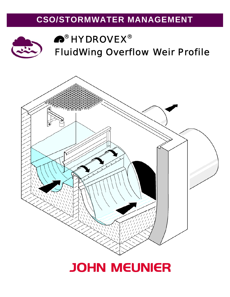## **CSO/STORMWATER MANAGEMENT**



# $^\circledR$  HYDROVEX $^\circledR$ *Fluid*Wing Overflow Weir Profile

# **JOHN MEUNIER**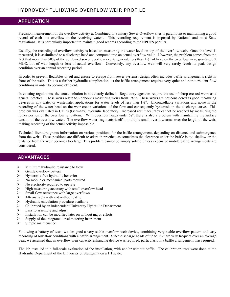### HYDROVEX® *FLUID*WING OVERFLOW WEIR PROFILE

#### **APPLICATION**

Precision measurement of the overflow activity at Combined or Sanitary Sewer Overflow sites is paramount to maintaining a good record of each site overflow in the receiving waters. This recording requirement is imposed by National and most State regulations. It is particularly important to maintain good records according to the NPDES permits.

Usually, the recording of overflow activity is based on measuring the water level on top of the overflow weir. Once the level is measured, it is assimilated to a discharge head and computed into an actual overflow value. However, the problem comes from the fact that more than 50% of the combined sewer overflow events generate less than 1½" of head on the overflow weir, granting 0.2 MGD/foot of weir length or less of actual overflow. Conversely, any overflow weir will very rarely reach its peak design condition over an annual recording period.

In order to prevent floatables or oil and grease to escape from sewer systems, design often includes baffle arrangements right in front of the weir. This is a further hydraulic complication, as the baffle arrangement requires very quiet and non turbulent flow conditions in order to become efficient.

In existing regulations, the actual solution is not clearly defined. Regulatory agencies require the use of sharp crested weirs as a general practice. These weirs relate to Rehbock's measuring weirs from 1929. These weirs are not considered as good measuring devices in any water or wastewater applications for water levels of less than 1½". Uncontrollable variations and noise in the recording of the water head on the weir create variations of the flow and consequently hysteresis in the discharge curve. This problem was evaluated in UFT's (Germany) hydraulic laboratory. Increased result accuracy cannot be reached by measuring the lower portion of the overflow jet pattern. With overflow heads under <sup>3</sup>/<sub>8</sub><sup>2</sup>, there is also a problem with maintaining the surface tension of the overflow water. The overflow water fragments itself in multiple small overflow areas over the length of the weir, making recording of the actual activity impossible.

Technical literature grants information on various positions for the baffle arrangement, depending on distance and submergence from the weir. These positions are difficult to adapt in practice, as sometimes the clearance under the baffle is too shallow or the distance from the weir becomes too large. This problem cannot be simply solved unless expensive mobile baffle arrangements are considered.

#### **ADVANTAGES**

- $\triangleright$  Minimum hydraulic resistance to flow
- $\triangleright$  Gentle overflow pattern
- 
- $\triangleright$  Hysteresis-free hydraulic behavior<br> $\triangleright$  No mobile or mechanical parts requ  $\geq$  No mobile or mechanical parts required<br>  $\geq$  No electricity required to operate
- $\geq$  No electricity required to operate<br> $\geq$  High measuring accuracy with sm
- $\triangleright$  High measuring accuracy with small overflow head<br> $\triangleright$  Small flow resistance with large overflows
- Small flow resistance with large overflows
- $\blacktriangleright$  Alternatively with and without baffle
- $\blacktriangleright$  Hydraulic calculation procedure available
- ightarrow Calibrated by an independent University Hydraulic Department<br>  $\triangleright$  Easy to assemble and adjust
- $\geq$  Easy to assemble and adjust<br> $\geq$  Installation can be modified
- Installation can be modified later on without major efforts
- $\triangleright$  Supply of the integrated level metering instrument
- $\triangleright$  Simple maintenance

Following a battery of tests, we designed a very stable overflow weir device, combining very stable overflow pattern and easy recording of low flow conditions with a baffle arrangement. Since discharge heads of up to  $1\frac{1}{2}$ " are very frequent over an average year, we assumed that an overflow weir capacity enhancing device was required, particularly if a baffle arrangement was required.

The lab tests led to a full-scale evaluation of the installation, with and/or without baffle. The calibration tests were done at the Hydraulic Department of the University of Stuttgart 9 on a 1:1 scale.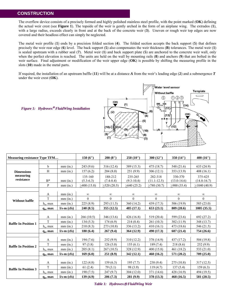#### **CONSTRUCTION**

The overflow device consists of a precisely formed and highly polished stainless steel profile, with the point marked (**OK**) defining the actual weir crest (see **Figure 1**). The topside of the weir is gently arched in the form of an airplane wing. The extrados (**1**), with a large radius, exceeds clearly in front and at the back of the concrete weir (**3**). Uneven or rough weir top edges are now covered and their headloss effect can simply be neglected.

The metal weir profile (**1**) ends by a precision folded section (**4**). The folded section accepts the back support (**5**) that defines precisely the weir rear edge (**6**) level. The back support (**5**) also compensates the weir thickness (**B**) tolerances. The metal weir (**1**) is sealed upstream with a rubber seal (**7**). Metal weir (**1**) and back support plate (**5**) are anchored to the concrete weir wall, only when the perfect elevation is reached. The units are held on the wall by mounting rails (**8**) and anchors (**9**) that are bolted in the weir surface. Final adjustment or modification of the weir upper edge (**OK**) is possible by shifting the measuring profile in the slots (**10**) made in the metal parts.

If required, the installation of an upstream baffle (**11**) will be at a distance *A* from the weir's leading edge (**2**) and a submergence *T* under the weir crest (**OK**).



*Figure 1: Hydrovex*® *FluidWing Installation*

| <b>Measuring resistance Type TFM</b>         |                   |               | 150(6")     | 200(8")       | 250(10")       | 300(12")        | 350 $(14")$     | 400 (16")       |
|----------------------------------------------|-------------------|---------------|-------------|---------------|----------------|-----------------|-----------------|-----------------|
|                                              |                   |               |             |               |                |                 |                 |                 |
| <b>Dimensions</b><br>measuring<br>resistance | $\mathbf b$       | $mm$ $(in.)$  | 243(9.6)    | 316(12.4)     | 389 (15.3)     | 475 (18.7)      | 548 (21.6)      | 633 (24.9)      |
|                                              | H                 | $mm$ (in.)    | 157(6.2)    | 204(8.0)      | 251(9.9)       | 306(12.1)       | 353 (13.9)      | 408(16.1)       |
|                                              |                   |               | 135-160     | 188-212       | 235-265        | 282-318         | 330-370         | 375-425         |
|                                              | $B^*$             | $mm$ $(in.)$  | $(5.3-6.3)$ | $(7.4 - 8.4)$ | $(9.3 - 10.4)$ | $(11.1 - 12.5)$ | $(13.0 - 14.6)$ | $(14.8 - 16.7)$ |
|                                              | P                 | $mm$ (in.)    | >400(15.8)  | >520(20.5)    | >640(25.2)     | >780(30.7)      | >900(35.4)      | >1040(40.9)     |
|                                              |                   |               |             |               |                |                 |                 |                 |
| <b>Without baffle</b>                        | A                 | $mm$ $(in.)$  | $\infty$    | $\infty$      | $\infty$       | $\infty$        | $\infty$        | $\infty$        |
|                                              | T                 | $mm$ (in.)    | $\Omega$    | $\Omega$      | $\Omega$       | $\Omega$        | $\Omega$        | $\theta$        |
|                                              | $h_{\rm u}$ , max | $mm$ (in.)    | 225(8.9)    | 293(11.5)     | 360 (14.2)     | 439 (17.3)      | 506 (19.9)      | 585 (23.0)      |
|                                              | $q_{\rm u}$ , max | $l/s-m$ (cfs) | 240(8.5)    | 355(12.5)     | 485 (17.1)     | 653(23.1)       | 809 (28.6)      | 1005(35.5)      |
|                                              |                   |               |             |               |                |                 |                 |                 |
| <b>Baffle In Position 1</b>                  | A                 | $mm$ (in.)    | 266(10.5)   | 346 (13.6)    | 426(16.8)      | 519(20.4)       | 599 (23.6)      | 692 (27.2)      |
|                                              | $\mathbf T$       | $mm$ (in.)    | 134(5.3)    | 174(6.9)      | 214(8.4)       | 261 (10.3)      | 302 (11.9)      | 348 (13.7)      |
|                                              | $h_u$ , max       | $mm$ $(in.)$  | 210(8.3)    | 273 (10.8)    | 336 (13.2)     | 410(16.1)       | 473 (18.6)      | 546 (21.5)      |
|                                              | $q_{\rm u}$ , max | $l/s-m$ (cfs) | 180(6.4)    | 267(9.4)      | 364(12.9)      | 490 (17.3)      | 607(21.4)       | 754 (26.6)      |
|                                              |                   |               |             |               |                |                 |                 |                 |
| <b>Baffle In Position 2</b>                  | $\mathbf{A}$      | $mm$ (in.)    | 194(7.6)    | 252(9.9)      | 310(12.2)      | 378 (14.9)      | 437 (17.2)      | 504 (19.8)      |
|                                              | T                 | $mm$ (in.)    | 97(3.8)     | 126(5.0)      | 155(6.1)       | 189(7.4)        | 218(8.6)        | 252(9.9)        |
|                                              | $h_{\rm u}$ , max | $mm$ (in.)    | 205(8.1)    | 267(10.5)     | 328 (12.9)     | 400 (15.8)      | 461 (18.2)      | 533 (21.0)      |
|                                              | $q_{\rm u}$ , max | $l/s-m$ (cfs) | 169(6.0)    | 251 (8.9)     | 342 (12.1)     | 460 (16.2)      | 571 (20.2)      | 709 (25.0)      |
|                                              |                   |               |             |               |                |                 |                 |                 |
| <b>Baffle In Position 3</b>                  | A                 | mm(in.)       | 122(4.8)    | 159(6.3)      | 195(7.7)       | 238(9.4)        | 275(10.8)       | 317(12.5)       |
|                                              | T                 | $mm$ (in.)    | 61(2.4)     | 79 (3.1)      | 98 (3.9)       | 119(4.7)        | 137(5.4)        | 159(6.3)        |
|                                              | $h_u$ , max       | $mm$ $(in.)$  | 190(7.5)    | 247(9.7)      | 304(12.0)      | 371 (14.6)      | 428 (16.9)      | 494 (19.5)      |
|                                              | $q_{\rm u}$ , max | $l/s-m$ (cfs) | 139(4.9)    | 206(7.3)      | 281 (9.9)      | 378 (13.3)      | 468 (16.5)      | 581 (20.5)      |

*Table 1: Hydrovex*® *FluidWing Weir*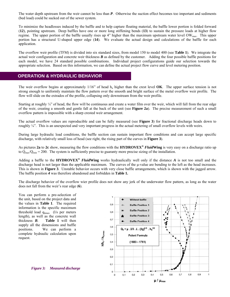The water depth upstream from the weir cannot be less than *P*. Otherwise the suction effect becomes too important and sediments (bed load) could be sucked out of the sewer system.

To minimize the headlosses induced by the baffle and to help capture floating material, the baffle lower portion is folded forward (**12**), pointing upstream. Deep baffles have one or more long stiffening bends (**13**) to sustain the pressure loads at higher flow regime. The upper portion of the baffle usually rises up 4" higher than the maximum upstream water level OW<sub>max</sub>. This upper portion has a structural U-shaped upper edge (**14**). We evaluate the actual design and calculations of the baffle for each application.

The overflow weir profile (TFM) is divided into six standard sizes, from model 150 to model 400 (see **Table 1**). We integrate the actual weir configuration and concrete weir thickness *B* as defined by the customer. Adding the four possible baffle positions for each model, we have 24 standard possible combinations. Individual project configurations guide our selection towards the appropriate selection. Based on this information, we can define the actual project flow curve and level metering position.

#### **OPERATION & HYDRAULIC BEHAVIOR**

The weir overflow begins at approximately  $1/16$ " of head  $h_u$  higher than the crest level **OK**. The upper surface tension is not strong enough to uniformly maintain the flow pattern over the smooth and bright surface of the metal overflow weir profile. The flow will slide on the extrados of the profile, collapsing only downstream from the weir profile.

Starting at roughly ¼" of head, the flow will be continuous and create a water film over the weir, which will fall from the rear edge of the weir, creating a smooth and gentle fall at the back of the unit (see **Figure 2a**). The precise measurement of such a small overflow pattern is impossible with a sharp crested weir arrangement.

The actual overflow values are reproducible and can be fully measured (see **Figure 3**) for fractional discharge heads down to roughly  $\frac{1}{4}$ . This is an unexpected and very important progress in the actual metering of small overflow levels with weirs.

During large hydraulic load conditions, the baffle section can sustain important flow conditions and can accept large specific discharge, with relatively small loss of head (see right, the rising part of the curves in **Figure 3**).

As pictures **2a** to **2c** show, measuring the flow conditions with the **HYDROVEX®** *Fluid***Wing** is very easy on a discharge ratio up to  $Q_{\text{max}}/Q_{\text{min}} = 200$ . The system is sufficiently precise to guaranty more precise sizing of the installation.

Adding a baffle to the **HYDROVEX®** *Fluid***Wing** works hydraulically well only if the distance *A* is not too small and the discharge head is not larger than the applicable maximum. The curves of the μ-value are bending to the left as the head increases. This is shown in **Figure 3**. Unstable behavior occurs with very close baffle arrangements, which is shown with the jagged arrow. The baffle position *4* was therefore abandoned and forbidden in **Table 1.**

The discharge behavior of the overflow wier profile does not show any jerk of the underwater flow pattern, as long as the water does not fall from the weir's rear edge (**6**).

You can perform a pre-selection of the unit, based on the project data and the values in **Table 1**. The required information is the specific maximum threshold load qümax (l/s per meters length), as well as the concrete wall thickness *B*. **Table 1** will then supply all the dimensions and baffle positions. We can perform a complete hydraulic calculation upon request.



*Figure 3: Measured discharge*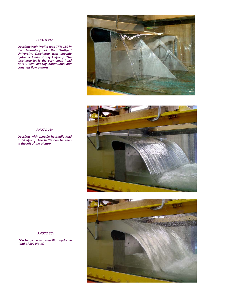#### *PHOTO 2A:*

*Overflow Weir Profile type TFM 150 in the laboratory of the Stuttgart University. Discharge with specific hydraulic loads of only 1 l/(s-m). The discharge jet is the very small head of ¼", with already continuous and constant flow pattern.*







#### *PHOTO 2B:*

*Overflow with specific hydraulic load of 30 l/(s-m). The baffle can be seen at the left of the picture.*

*PHOTO 2C:* 

*Discharge with specific hydraulic load of 100 l/(s-m)*